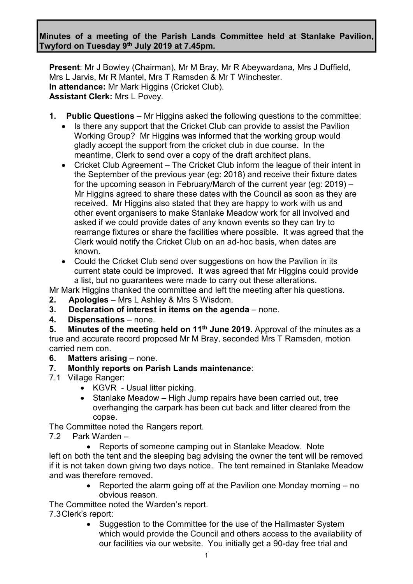### **Minutes of a meeting of the Parish Lands Committee held at Stanlake Pavilion, Twyford on Tuesday 9 th July 2019 at 7.45pm.**

**Present**: Mr J Bowley (Chairman), Mr M Bray, Mr R Abeywardana, Mrs J Duffield, Mrs L Jarvis, Mr R Mantel, Mrs T Ramsden & Mr T Winchester. **In attendance:** Mr Mark Higgins (Cricket Club). **Assistant Clerk:** Mrs L Povey.

- **1. Public Questions** Mr Higgins asked the following questions to the committee:
	- Is there any support that the Cricket Club can provide to assist the Pavilion Working Group? Mr Higgins was informed that the working group would gladly accept the support from the cricket club in due course. In the meantime, Clerk to send over a copy of the draft architect plans.
	- Cricket Club Agreement The Cricket Club inform the league of their intent in the September of the previous year (eg: 2018) and receive their fixture dates for the upcoming season in February/March of the current year (eg: 2019) – Mr Higgins agreed to share these dates with the Council as soon as they are received. Mr Higgins also stated that they are happy to work with us and other event organisers to make Stanlake Meadow work for all involved and asked if we could provide dates of any known events so they can try to rearrange fixtures or share the facilities where possible. It was agreed that the Clerk would notify the Cricket Club on an ad-hoc basis, when dates are known.
	- Could the Cricket Club send over suggestions on how the Pavilion in its current state could be improved. It was agreed that Mr Higgins could provide a list, but no guarantees were made to carry out these alterations.

Mr Mark Higgins thanked the committee and left the meeting after his questions.

- **2. Apologies** Mrs L Ashley & Mrs S Wisdom.
- **3. Declaration of interest in items on the agenda** none.
- **4. Dispensations** none.

**5. Minutes of the meeting held on 11th June 2019.** Approval of the minutes as a true and accurate record proposed Mr M Bray, seconded Mrs T Ramsden, motion carried nem con.

- **6. Matters arising** none.
- **7. Monthly reports on Parish Lands maintenance**:
- 7.1 Village Ranger:
	- KGVR Usual litter picking.
	- Stanlake Meadow High Jump repairs have been carried out, tree overhanging the carpark has been cut back and litter cleared from the copse.

The Committee noted the Rangers report.

- 7.2 Park Warden
	- Reports of someone camping out in Stanlake Meadow. Note

left on both the tent and the sleeping bag advising the owner the tent will be removed if it is not taken down giving two days notice. The tent remained in Stanlake Meadow and was therefore removed.

> • Reported the alarm going off at the Pavilion one Monday morning – no obvious reason.

The Committee noted the Warden's report.

7.3Clerk's report:

• Suggestion to the Committee for the use of the Hallmaster System which would provide the Council and others access to the availability of our facilities via our website. You initially get a 90-day free trial and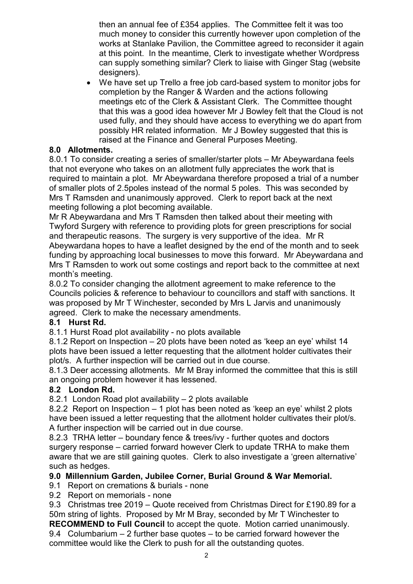then an annual fee of £354 applies. The Committee felt it was too much money to consider this currently however upon completion of the works at Stanlake Pavilion, the Committee agreed to reconsider it again at this point. In the meantime, Clerk to investigate whether Wordpress can supply something similar? Clerk to liaise with Ginger Stag (website designers).

• We have set up Trello a free job card-based system to monitor jobs for completion by the Ranger & Warden and the actions following meetings etc of the Clerk & Assistant Clerk. The Committee thought that this was a good idea however Mr J Bowley felt that the Cloud is not used fully, and they should have access to everything we do apart from possibly HR related information. Mr J Bowley suggested that this is raised at the Finance and General Purposes Meeting.

# **8.0 Allotments.**

8.0.1 To consider creating a series of smaller/starter plots – Mr Abeywardana feels that not everyone who takes on an allotment fully appreciates the work that is required to maintain a plot. Mr Abeywardana therefore proposed a trial of a number of smaller plots of 2.5poles instead of the normal 5 poles. This was seconded by Mrs T Ramsden and unanimously approved. Clerk to report back at the next meeting following a plot becoming available.

Mr R Abeywardana and Mrs T Ramsden then talked about their meeting with Twyford Surgery with reference to providing plots for green prescriptions for social and therapeutic reasons. The surgery is very supportive of the idea. Mr R Abeywardana hopes to have a leaflet designed by the end of the month and to seek funding by approaching local businesses to move this forward. Mr Abeywardana and Mrs T Ramsden to work out some costings and report back to the committee at next month's meeting.

8.0.2 To consider changing the allotment agreement to make reference to the Councils policies & reference to behaviour to councillors and staff with sanctions. It was proposed by Mr T Winchester, seconded by Mrs L Jarvis and unanimously agreed. Clerk to make the necessary amendments.

# **8.1 Hurst Rd.**

8.1.1 Hurst Road plot availability - no plots available

8.1.2 Report on Inspection – 20 plots have been noted as 'keep an eye' whilst 14 plots have been issued a letter requesting that the allotment holder cultivates their plot/s. A further inspection will be carried out in due course.

8.1.3 Deer accessing allotments. Mr M Bray informed the committee that this is still an ongoing problem however it has lessened.

# **8.2 London Rd.**

8.2.1 London Road plot availability – 2 plots available

8.2.2 Report on Inspection – 1 plot has been noted as 'keep an eye' whilst 2 plots have been issued a letter requesting that the allotment holder cultivates their plot/s. A further inspection will be carried out in due course.

8.2.3 TRHA letter – boundary fence & trees/ivy - further quotes and doctors surgery response – carried forward however Clerk to update TRHA to make them aware that we are still gaining quotes. Clerk to also investigate a 'green alternative' such as hedges.

# **9.0 Millennium Garden, Jubilee Corner, Burial Ground & War Memorial.**

9.1 Report on cremations & burials - none

9.2 Report on memorials - none

9.3 Christmas tree 2019 – Quote received from Christmas Direct for £190.89 for a 50m string of lights. Proposed by Mr M Bray, seconded by Mr T Winchester to

**RECOMMEND to Full Council** to accept the quote. Motion carried unanimously. 9.4 Columbarium – 2 further base quotes – to be carried forward however the committee would like the Clerk to push for all the outstanding quotes.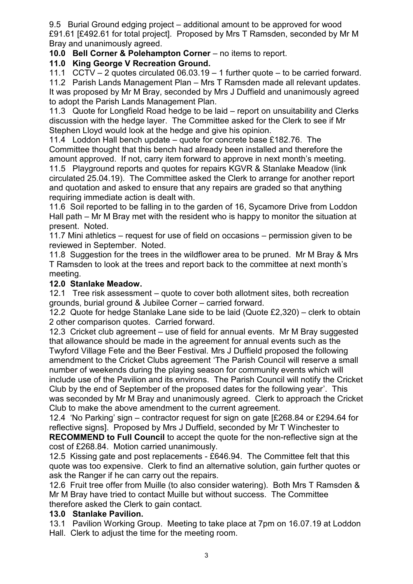9.5 Burial Ground edging project – additional amount to be approved for wood £91.61 [£492.61 for total project]. Proposed by Mrs T Ramsden, seconded by Mr M Bray and unanimously agreed.

**10.0 Bell Corner & Polehampton Corner** – no items to report.

# **11.0 King George V Recreation Ground.**

11.1 CCTV – 2 quotes circulated 06.03.19 – 1 further quote – to be carried forward.

11.2 Parish Lands Management Plan – Mrs T Ramsden made all relevant updates. It was proposed by Mr M Bray, seconded by Mrs J Duffield and unanimously agreed to adopt the Parish Lands Management Plan.

11.3 Quote for Longfield Road hedge to be laid – report on unsuitability and Clerks discussion with the hedge layer. The Committee asked for the Clerk to see if Mr Stephen Lloyd would look at the hedge and give his opinion.

11.4 Loddon Hall bench update – quote for concrete base £182.76. The Committee thought that this bench had already been installed and therefore the amount approved. If not, carry item forward to approve in next month's meeting. 11.5 Playground reports and quotes for repairs KGVR & Stanlake Meadow (link circulated 25.04.19). The Committee asked the Clerk to arrange for another report and quotation and asked to ensure that any repairs are graded so that anything requiring immediate action is dealt with.

11.6 Soil reported to be falling in to the garden of 16, Sycamore Drive from Loddon Hall path – Mr M Bray met with the resident who is happy to monitor the situation at present. Noted.

11.7 Mini athletics – request for use of field on occasions – permission given to be reviewed in September. Noted.

11.8 Suggestion for the trees in the wildflower area to be pruned. Mr M Bray & Mrs T Ramsden to look at the trees and report back to the committee at next month's meeting.

# **12.0 Stanlake Meadow.**

12.1 Tree risk assessment – quote to cover both allotment sites, both recreation grounds, burial ground & Jubilee Corner – carried forward.

12.2 Quote for hedge Stanlake Lane side to be laid (Quote £2,320) – clerk to obtain 2 other comparison quotes. Carried forward.

12.3 Cricket club agreement – use of field for annual events. Mr M Bray suggested that allowance should be made in the agreement for annual events such as the Twyford Village Fete and the Beer Festival. Mrs J Duffield proposed the following amendment to the Cricket Clubs agreement 'The Parish Council will reserve a small number of weekends during the playing season for community events which will include use of the Pavilion and its environs. The Parish Council will notify the Cricket Club by the end of September of the proposed dates for the following year'. This was seconded by Mr M Bray and unanimously agreed. Clerk to approach the Cricket Club to make the above amendment to the current agreement.

12.4 'No Parking' sign – contractor request for sign on gate [£268.84 or £294.64 for reflective signs]. Proposed by Mrs J Duffield, seconded by Mr T Winchester to **RECOMMEND to Full Council** to accept the quote for the non-reflective sign at the cost of £268.84. Motion carried unanimously.

12.5 Kissing gate and post replacements - £646.94. The Committee felt that this quote was too expensive. Clerk to find an alternative solution, gain further quotes or ask the Ranger if he can carry out the repairs.

12.6 Fruit tree offer from Muille (to also consider watering). Both Mrs T Ramsden & Mr M Bray have tried to contact Muille but without success. The Committee therefore asked the Clerk to gain contact.

#### **13.0 Stanlake Pavilion.**

13.1 Pavilion Working Group. Meeting to take place at 7pm on 16.07.19 at Loddon Hall. Clerk to adjust the time for the meeting room.